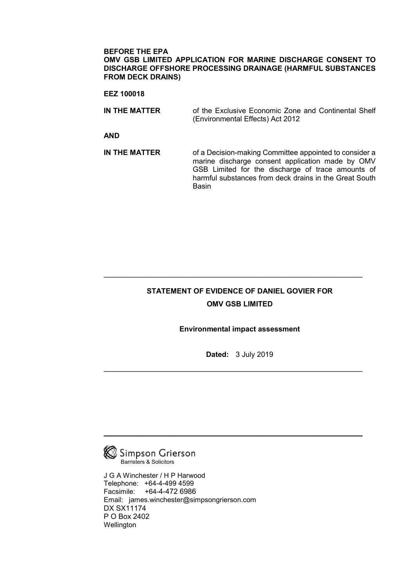#### **BEFORE THE EPA OMV GSB LIMITED APPLICATION FOR MARINE DISCHARGE CONSENT TO DISCHARGE OFFSHORE PROCESSING DRAINAGE (HARMFUL SUBSTANCES FROM DECK DRAINS)**

#### **EEZ 100018**

| IN THE MATTER | of the Exclusive Economic Zone and Continental Shelf |  |  |
|---------------|------------------------------------------------------|--|--|
|               | (Environmental Effects) Act 2012                     |  |  |

**AND** 

**IN THE MATTER** of a Decision-making Committee appointed to consider a marine discharge consent application made by OMV GSB Limited for the discharge of trace amounts of harmful substances from deck drains in the Great South Basin

# **STATEMENT OF EVIDENCE OF DANIEL GOVIER FOR OMV GSB LIMITED**

\_\_\_\_\_\_\_\_\_\_\_\_\_\_\_\_\_\_\_\_\_\_\_\_\_\_\_\_\_\_\_\_\_\_\_\_\_\_\_\_\_\_\_\_\_\_\_\_\_\_\_\_\_\_\_\_\_\_

## **Environmental impact assessment**

**Dated:** 3 July 2019

\_\_\_\_\_\_\_\_\_\_\_\_\_\_\_\_\_\_\_\_\_\_\_\_\_\_\_\_\_\_\_\_\_\_\_\_\_\_\_\_\_\_\_\_\_\_\_\_\_\_\_\_\_\_\_\_\_\_

\_\_\_\_\_\_\_\_\_\_\_\_\_\_\_\_\_\_\_\_\_\_\_\_\_\_\_\_\_\_\_\_\_\_\_\_\_\_\_\_\_\_\_\_\_\_\_\_\_\_\_\_\_\_\_\_\_\_



J G A Winchester / H P Harwood Telephone: +64-4-499 4599 Facsimile: +64-4-472 6986 Email: james.winchester@simpsongrierson.com DX SX11174 P O Box 2402 Wellington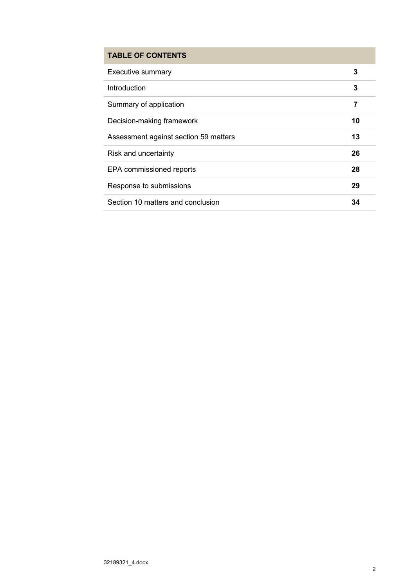# **TABLE OF CONTENTS**

| <b>Executive summary</b>              | 3  |
|---------------------------------------|----|
| Introduction                          | 3  |
| Summary of application                | 7  |
| Decision-making framework             | 10 |
| Assessment against section 59 matters | 13 |
| Risk and uncertainty                  | 26 |
| EPA commissioned reports              | 28 |
| Response to submissions               | 29 |
| Section 10 matters and conclusion     | 34 |
|                                       |    |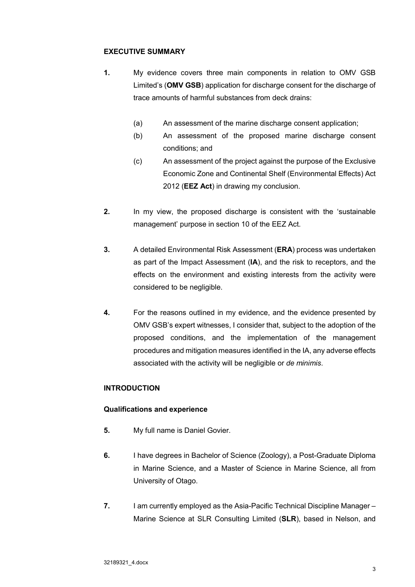## **EXECUTIVE SUMMARY**

- **1.** My evidence covers three main components in relation to OMV GSB Limited's (**OMV GSB**) application for discharge consent for the discharge of trace amounts of harmful substances from deck drains:
	- (a) An assessment of the marine discharge consent application;
	- (b) An assessment of the proposed marine discharge consent conditions; and
	- (c) An assessment of the project against the purpose of the Exclusive Economic Zone and Continental Shelf (Environmental Effects) Act 2012 (**EEZ Act**) in drawing my conclusion.
- **2.** In my view, the proposed discharge is consistent with the 'sustainable management' purpose in section 10 of the EEZ Act.
- **3.** A detailed Environmental Risk Assessment (**ERA**) process was undertaken as part of the Impact Assessment (**IA**), and the risk to receptors, and the effects on the environment and existing interests from the activity were considered to be negligible.
- **4.** For the reasons outlined in my evidence, and the evidence presented by OMV GSB's expert witnesses, I consider that, subject to the adoption of the proposed conditions, and the implementation of the management procedures and mitigation measures identified in the IA, any adverse effects associated with the activity will be negligible or *de minimis*.

## **INTRODUCTION**

## **Qualifications and experience**

- **5.** My full name is Daniel Govier.
- **6.** I have degrees in Bachelor of Science (Zoology), a Post-Graduate Diploma in Marine Science, and a Master of Science in Marine Science, all from University of Otago.
- **7.** I am currently employed as the Asia-Pacific Technical Discipline Manager Marine Science at SLR Consulting Limited (**SLR**), based in Nelson, and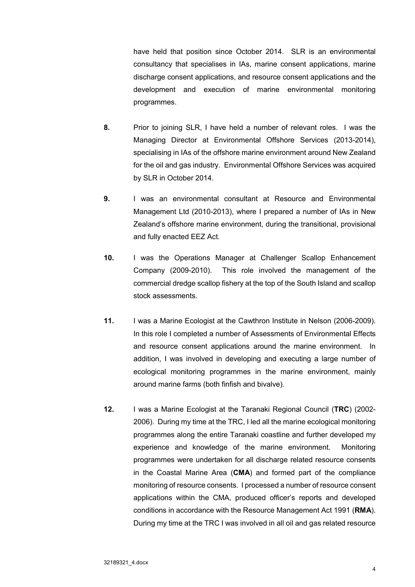have held that position since October 2014. SLR is an environmental consultancy that specialises in IAs, marine consent applications, marine discharge consent applications, and resource consent applications and the development and execution of marine environmental monitoring programmes.

- **8.** Prior to joining SLR, I have held a number of relevant roles. I was the Managing Director at Environmental Offshore Services (2013-2014), specialising in IAs of the offshore marine environment around New Zealand for the oil and gas industry. Environmental Offshore Services was acquired by SLR in October 2014.
- **9.** I was an environmental consultant at Resource and Environmental Management Ltd (2010-2013), where I prepared a number of IAs in New Zealand's offshore marine environment, during the transitional, provisional and fully enacted EEZ Act.
- **10.** I was the Operations Manager at Challenger Scallop Enhancement Company (2009-2010). This role involved the management of the commercial dredge scallop fishery at the top of the South Island and scallop stock assessments.
- **11.** I was a Marine Ecologist at the Cawthron Institute in Nelson (2006-2009). In this role I completed a number of Assessments of Environmental Effects and resource consent applications around the marine environment. In addition, I was involved in developing and executing a large number of ecological monitoring programmes in the marine environment, mainly around marine farms (both finfish and bivalve).
- **12.** I was a Marine Ecologist at the Taranaki Regional Council (**TRC**) (2002- 2006). During my time at the TRC, I led all the marine ecological monitoring programmes along the entire Taranaki coastline and further developed my experience and knowledge of the marine environment. Monitoring programmes were undertaken for all discharge related resource consents in the Coastal Marine Area (**CMA**) and formed part of the compliance monitoring of resource consents. I processed a number of resource consent applications within the CMA, produced officer's reports and developed conditions in accordance with the Resource Management Act 1991 (**RMA**). During my time at the TRC I was involved in all oil and gas related resource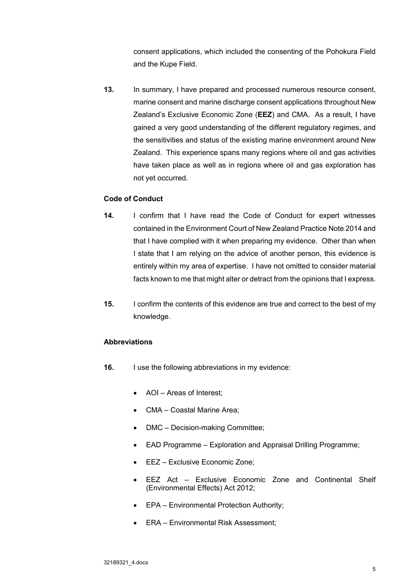consent applications, which included the consenting of the Pohokura Field and the Kupe Field.

**13.** In summary, I have prepared and processed numerous resource consent, marine consent and marine discharge consent applications throughout New Zealand's Exclusive Economic Zone (**EEZ**) and CMA. As a result, I have gained a very good understanding of the different regulatory regimes, and the sensitivities and status of the existing marine environment around New Zealand. This experience spans many regions where oil and gas activities have taken place as well as in regions where oil and gas exploration has not yet occurred.

## **Code of Conduct**

- **14.** I confirm that I have read the Code of Conduct for expert witnesses contained in the Environment Court of New Zealand Practice Note 2014 and that I have complied with it when preparing my evidence. Other than when I state that I am relying on the advice of another person, this evidence is entirely within my area of expertise. I have not omitted to consider material facts known to me that might alter or detract from the opinions that I express.
- **15.** I confirm the contents of this evidence are true and correct to the best of my knowledge.

## **Abbreviations**

- **16.** I use the following abbreviations in my evidence:
	- AOI Areas of Interest;
	- CMA Coastal Marine Area;
	- DMC Decision-making Committee;
	- EAD Programme Exploration and Appraisal Drilling Programme;
	- EEZ Exclusive Economic Zone;
	- EEZ Act Exclusive Economic Zone and Continental Shelf (Environmental Effects) Act 2012;
	- EPA Environmental Protection Authority;
	- ERA Environmental Risk Assessment;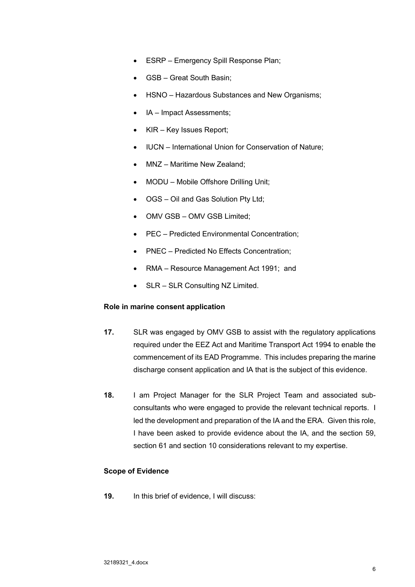- ESRP Emergency Spill Response Plan;
- GSB Great South Basin;
- HSNO Hazardous Substances and New Organisms;
- IA Impact Assessments;
- KIR Key Issues Report;
- IUCN International Union for Conservation of Nature;
- MNZ Maritime New Zealand;
- MODU Mobile Offshore Drilling Unit;
- OGS Oil and Gas Solution Pty Ltd;
- OMV GSB OMV GSB Limited;
- PEC Predicted Environmental Concentration;
- PNEC Predicted No Effects Concentration;
- RMA Resource Management Act 1991; and
- SLR SLR Consulting NZ Limited.

### **Role in marine consent application**

- **17.** SLR was engaged by OMV GSB to assist with the regulatory applications required under the EEZ Act and Maritime Transport Act 1994 to enable the commencement of its EAD Programme. This includes preparing the marine discharge consent application and IA that is the subject of this evidence.
- **18.** I am Project Manager for the SLR Project Team and associated subconsultants who were engaged to provide the relevant technical reports. I led the development and preparation of the IA and the ERA. Given this role, I have been asked to provide evidence about the IA, and the section 59, section 61 and section 10 considerations relevant to my expertise.

## **Scope of Evidence**

**19.** In this brief of evidence, I will discuss: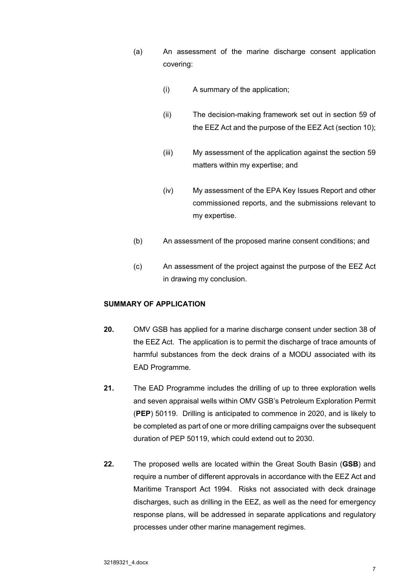- (a) An assessment of the marine discharge consent application covering:
	- (i) A summary of the application;
	- (ii) The decision-making framework set out in section 59 of the EEZ Act and the purpose of the EEZ Act (section 10);
	- (iii) My assessment of the application against the section 59 matters within my expertise; and
	- (iv) My assessment of the EPA Key Issues Report and other commissioned reports, and the submissions relevant to my expertise.
- (b) An assessment of the proposed marine consent conditions; and
- (c) An assessment of the project against the purpose of the EEZ Act in drawing my conclusion.

## **SUMMARY OF APPLICATION**

- **20.** OMV GSB has applied for a marine discharge consent under section 38 of the EEZ Act. The application is to permit the discharge of trace amounts of harmful substances from the deck drains of a MODU associated with its EAD Programme.
- **21.** The EAD Programme includes the drilling of up to three exploration wells and seven appraisal wells within OMV GSB's Petroleum Exploration Permit (**PEP**) 50119. Drilling is anticipated to commence in 2020, and is likely to be completed as part of one or more drilling campaigns over the subsequent duration of PEP 50119, which could extend out to 2030.
- **22.** The proposed wells are located within the Great South Basin (**GSB**) and require a number of different approvals in accordance with the EEZ Act and Maritime Transport Act 1994. Risks not associated with deck drainage discharges, such as drilling in the EEZ, as well as the need for emergency response plans, will be addressed in separate applications and regulatory processes under other marine management regimes.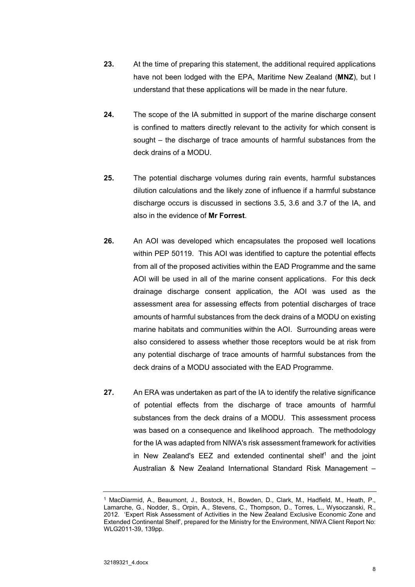- **23.** At the time of preparing this statement, the additional required applications have not been lodged with the EPA, Maritime New Zealand (**MNZ**), but I understand that these applications will be made in the near future.
- **24.** The scope of the IA submitted in support of the marine discharge consent is confined to matters directly relevant to the activity for which consent is sought – the discharge of trace amounts of harmful substances from the deck drains of a MODU.
- **25.** The potential discharge volumes during rain events, harmful substances dilution calculations and the likely zone of influence if a harmful substance discharge occurs is discussed in sections 3.5, 3.6 and 3.7 of the IA, and also in the evidence of **Mr Forrest**.
- **26.** An AOI was developed which encapsulates the proposed well locations within PEP 50119. This AOI was identified to capture the potential effects from all of the proposed activities within the EAD Programme and the same AOI will be used in all of the marine consent applications. For this deck drainage discharge consent application, the AOI was used as the assessment area for assessing effects from potential discharges of trace amounts of harmful substances from the deck drains of a MODU on existing marine habitats and communities within the AOI. Surrounding areas were also considered to assess whether those receptors would be at risk from any potential discharge of trace amounts of harmful substances from the deck drains of a MODU associated with the EAD Programme.
- **27.** An ERA was undertaken as part of the IA to identify the relative significance of potential effects from the discharge of trace amounts of harmful substances from the deck drains of a MODU. This assessment process was based on a consequence and likelihood approach. The methodology for the IA was adapted from NIWA's risk assessment framework for activities in New Zealand's EEZ and extended continental shelf<sup>1</sup> and the joint Australian & New Zealand International Standard Risk Management –

<sup>1</sup> MacDiarmid, A., Beaumont, J., Bostock, H., Bowden, D., Clark, M., Hadfield, M., Heath, P., Lamarche, G., Nodder, S., Orpin, A., Stevens, C., Thompson, D., Torres, L., Wysoczanski, R., 2012. 'Expert Risk Assessment of Activities in the New Zealand Exclusive Economic Zone and Extended Continental Shelf', prepared for the Ministry for the Environment, NIWA Client Report No: WLG2011-39, 139pp.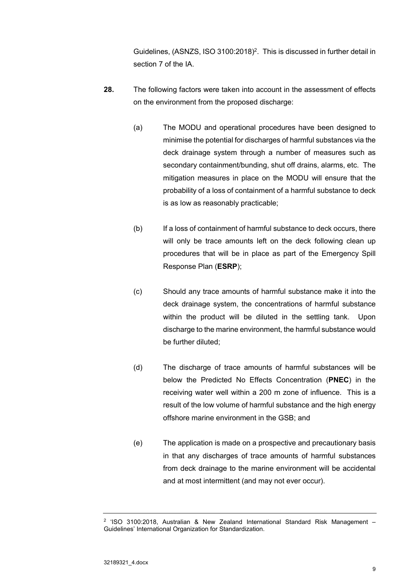Guidelines, (ASNZS, ISO 3100:2018)<sup>2</sup>. This is discussed in further detail in section 7 of the IA.

- **28.** The following factors were taken into account in the assessment of effects on the environment from the proposed discharge:
	- (a) The MODU and operational procedures have been designed to minimise the potential for discharges of harmful substances via the deck drainage system through a number of measures such as secondary containment/bunding, shut off drains, alarms, etc. The mitigation measures in place on the MODU will ensure that the probability of a loss of containment of a harmful substance to deck is as low as reasonably practicable;
	- (b) If a loss of containment of harmful substance to deck occurs, there will only be trace amounts left on the deck following clean up procedures that will be in place as part of the Emergency Spill Response Plan (**ESRP**);
	- (c) Should any trace amounts of harmful substance make it into the deck drainage system, the concentrations of harmful substance within the product will be diluted in the settling tank. Upon discharge to the marine environment, the harmful substance would be further diluted;
	- (d) The discharge of trace amounts of harmful substances will be below the Predicted No Effects Concentration (**PNEC**) in the receiving water well within a 200 m zone of influence. This is a result of the low volume of harmful substance and the high energy offshore marine environment in the GSB; and
	- (e) The application is made on a prospective and precautionary basis in that any discharges of trace amounts of harmful substances from deck drainage to the marine environment will be accidental and at most intermittent (and may not ever occur).

<sup>2 &#</sup>x27;ISO 3100:2018, Australian & New Zealand International Standard Risk Management – Guidelines' International Organization for Standardization.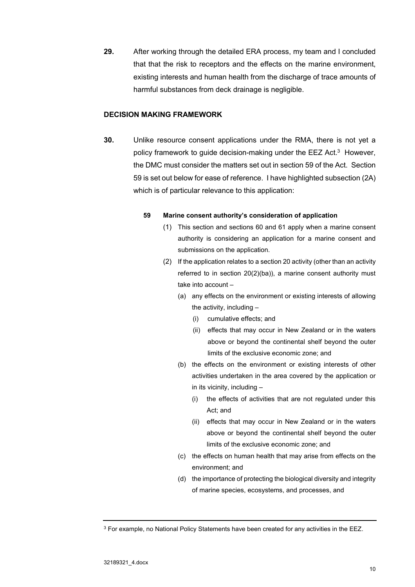**29.** After working through the detailed ERA process, my team and I concluded that that the risk to receptors and the effects on the marine environment, existing interests and human health from the discharge of trace amounts of harmful substances from deck drainage is negligible.

#### **DECISION MAKING FRAMEWORK**

**30.** Unlike resource consent applications under the RMA, there is not yet a policy framework to quide decision-making under the  $EEZ$  Act.<sup>3</sup> However, the DMC must consider the matters set out in section 59 of the Act. Section 59 is set out below for ease of reference. I have highlighted subsection (2A) which is of particular relevance to this application:

#### **59 Marine consent authority's consideration of application**

- (1) This section and sections 60 and 61 apply when a marine consent authority is considering an application for a marine consent and submissions on the application.
- (2) If the application relates to a section 20 activity (other than an activity referred to in section 20(2)(ba)), a marine consent authority must take into account –
	- (a) any effects on the environment or existing interests of allowing the activity, including –
		- (i) cumulative effects; and
		- (ii) effects that may occur in New Zealand or in the waters above or beyond the continental shelf beyond the outer limits of the exclusive economic zone; and
	- (b) the effects on the environment or existing interests of other activities undertaken in the area covered by the application or in its vicinity, including –
		- (i) the effects of activities that are not regulated under this Act; and
		- (ii) effects that may occur in New Zealand or in the waters above or beyond the continental shelf beyond the outer limits of the exclusive economic zone; and
	- (c) the effects on human health that may arise from effects on the environment; and
	- (d) the importance of protecting the biological diversity and integrity of marine species, ecosystems, and processes, and

<sup>&</sup>lt;sup>3</sup> For example, no National Policy Statements have been created for any activities in the EEZ.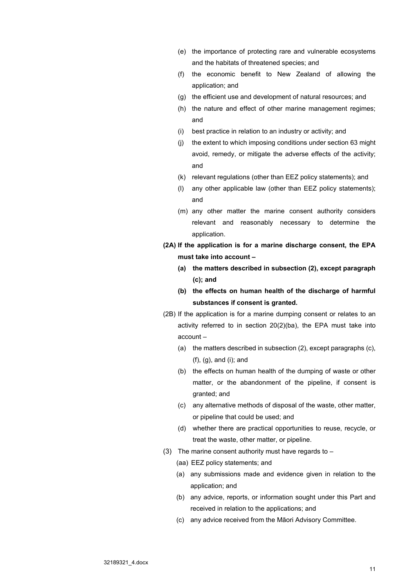- (e) the importance of protecting rare and vulnerable ecosystems and the habitats of threatened species; and
- (f) the economic benefit to New Zealand of allowing the application; and
- (g) the efficient use and development of natural resources; and
- (h) the nature and effect of other marine management regimes; and
- (i) best practice in relation to an industry or activity; and
- (j) the extent to which imposing conditions under section 63 might avoid, remedy, or mitigate the adverse effects of the activity; and
- (k) relevant regulations (other than EEZ policy statements); and
- (l) any other applicable law (other than EEZ policy statements); and
- (m) any other matter the marine consent authority considers relevant and reasonably necessary to determine the application.
- **(2A) If the application is for a marine discharge consent, the EPA must take into account –** 
	- **(a) the matters described in subsection (2), except paragraph (c); and**
	- **(b) the effects on human health of the discharge of harmful substances if consent is granted.**
- (2B) If the application is for a marine dumping consent or relates to an activity referred to in section 20(2)(ba), the EPA must take into account –
	- (a) the matters described in subsection (2), except paragraphs (c), (f), (g), and (i); and
	- (b) the effects on human health of the dumping of waste or other matter, or the abandonment of the pipeline, if consent is granted; and
	- (c) any alternative methods of disposal of the waste, other matter, or pipeline that could be used; and
	- (d) whether there are practical opportunities to reuse, recycle, or treat the waste, other matter, or pipeline.
- (3) The marine consent authority must have regards to  $-$ 
	- (aa) EEZ policy statements; and
	- (a) any submissions made and evidence given in relation to the application; and
	- (b) any advice, reports, or information sought under this Part and received in relation to the applications; and
	- (c) any advice received from the Māori Advisory Committee.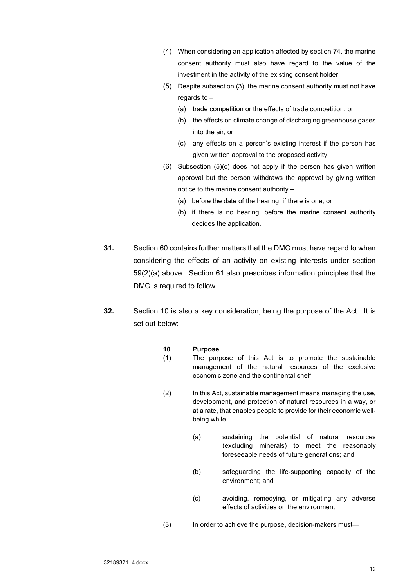- (4) When considering an application affected by section 74, the marine consent authority must also have regard to the value of the investment in the activity of the existing consent holder.
- (5) Despite subsection (3), the marine consent authority must not have regards to  $-$ 
	- (a) trade competition or the effects of trade competition; or
	- (b) the effects on climate change of discharging greenhouse gases into the air; or
	- (c) any effects on a person's existing interest if the person has given written approval to the proposed activity.
- (6) Subsection (5)(c) does not apply if the person has given written approval but the person withdraws the approval by giving written notice to the marine consent authority –
	- (a) before the date of the hearing, if there is one; or
	- (b) if there is no hearing, before the marine consent authority decides the application.
- **31.** Section 60 contains further matters that the DMC must have regard to when considering the effects of an activity on existing interests under section 59(2)(a) above. Section 61 also prescribes information principles that the DMC is required to follow.
- **32.** Section 10 is also a key consideration, being the purpose of the Act. It is set out below:

#### **10 Purpose**

- (1) The purpose of this Act is to promote the sustainable management of the natural resources of the exclusive economic zone and the continental shelf.
- (2) In this Act, sustainable management means managing the use, development, and protection of natural resources in a way, or at a rate, that enables people to provide for their economic wellbeing while—
	- (a) sustaining the potential of natural resources (excluding minerals) to meet the reasonably foreseeable needs of future generations; and
	- (b) safeguarding the life-supporting capacity of the environment; and
	- (c) avoiding, remedying, or mitigating any adverse effects of activities on the environment.
- (3) In order to achieve the purpose, decision-makers must—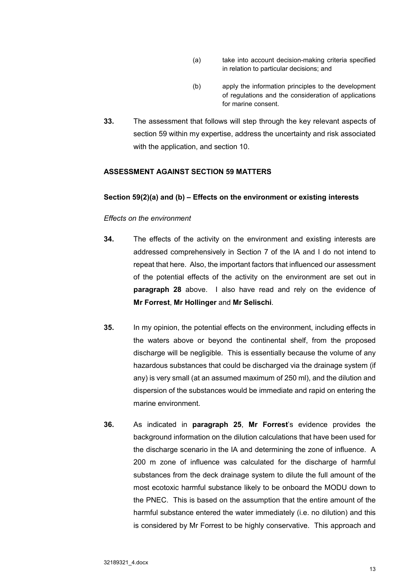- (a) take into account decision-making criteria specified in relation to particular decisions; and
- (b) apply the information principles to the development of regulations and the consideration of applications for marine consent.
- **33.** The assessment that follows will step through the key relevant aspects of section 59 within my expertise, address the uncertainty and risk associated with the application, and section 10.

### **ASSESSMENT AGAINST SECTION 59 MATTERS**

#### **Section 59(2)(a) and (b) – Effects on the environment or existing interests**

### *Effects on the environment*

- **34.** The effects of the activity on the environment and existing interests are addressed comprehensively in Section 7 of the IA and I do not intend to repeat that here. Also, the important factors that influenced our assessment of the potential effects of the activity on the environment are set out in **paragraph 28** above. I also have read and rely on the evidence of **Mr Forrest**, **Mr Hollinger** and **Mr Selischi**.
- **35.** In my opinion, the potential effects on the environment, including effects in the waters above or beyond the continental shelf, from the proposed discharge will be negligible. This is essentially because the volume of any hazardous substances that could be discharged via the drainage system (if any) is very small (at an assumed maximum of 250 ml), and the dilution and dispersion of the substances would be immediate and rapid on entering the marine environment.
- **36.** As indicated in **paragraph 25**, **Mr Forrest**'s evidence provides the background information on the dilution calculations that have been used for the discharge scenario in the IA and determining the zone of influence. A 200 m zone of influence was calculated for the discharge of harmful substances from the deck drainage system to dilute the full amount of the most ecotoxic harmful substance likely to be onboard the MODU down to the PNEC. This is based on the assumption that the entire amount of the harmful substance entered the water immediately (i.e. no dilution) and this is considered by Mr Forrest to be highly conservative. This approach and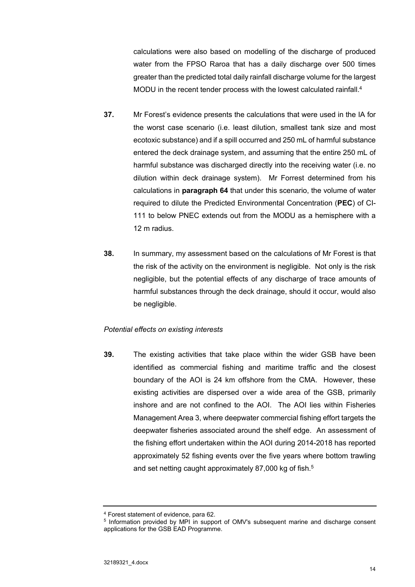calculations were also based on modelling of the discharge of produced water from the FPSO Raroa that has a daily discharge over 500 times greater than the predicted total daily rainfall discharge volume for the largest MODU in the recent tender process with the lowest calculated rainfall.<sup>4</sup>

- **37.** Mr Forest's evidence presents the calculations that were used in the IA for the worst case scenario (i.e. least dilution, smallest tank size and most ecotoxic substance) and if a spill occurred and 250 mL of harmful substance entered the deck drainage system, and assuming that the entire 250 mL of harmful substance was discharged directly into the receiving water (i.e. no dilution within deck drainage system). Mr Forrest determined from his calculations in **paragraph 64** that under this scenario, the volume of water required to dilute the Predicted Environmental Concentration (**PEC**) of CI-111 to below PNEC extends out from the MODU as a hemisphere with a 12 m radius.
- **38.** In summary, my assessment based on the calculations of Mr Forest is that the risk of the activity on the environment is negligible. Not only is the risk negligible, but the potential effects of any discharge of trace amounts of harmful substances through the deck drainage, should it occur, would also be negligible.

### *Potential effects on existing interests*

**39.** The existing activities that take place within the wider GSB have been identified as commercial fishing and maritime traffic and the closest boundary of the AOI is 24 km offshore from the CMA. However, these existing activities are dispersed over a wide area of the GSB, primarily inshore and are not confined to the AOI. The AOI lies within Fisheries Management Area 3, where deepwater commercial fishing effort targets the deepwater fisheries associated around the shelf edge. An assessment of the fishing effort undertaken within the AOI during 2014-2018 has reported approximately 52 fishing events over the five years where bottom trawling and set netting caught approximately 87,000 kg of fish.<sup>5</sup>

<sup>4</sup> Forest statement of evidence, para 62.

<sup>&</sup>lt;sup>5</sup> Information provided by MPI in support of OMV's subsequent marine and discharge consent applications for the GSB EAD Programme.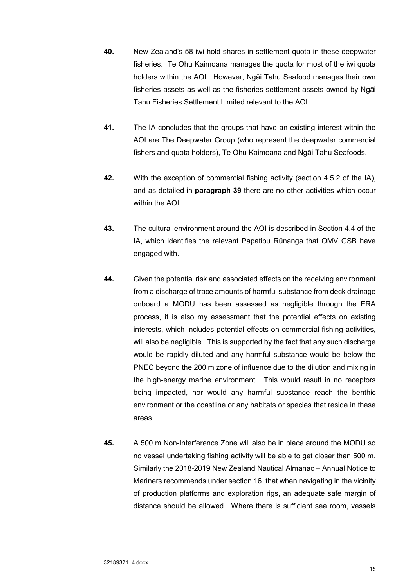- **40.** New Zealand's 58 iwi hold shares in settlement quota in these deepwater fisheries. Te Ohu Kaimoana manages the quota for most of the iwi quota holders within the AOI. However, Ngāi Tahu Seafood manages their own fisheries assets as well as the fisheries settlement assets owned by Ngāi Tahu Fisheries Settlement Limited relevant to the AOI.
- **41.** The IA concludes that the groups that have an existing interest within the AOI are The Deepwater Group (who represent the deepwater commercial fishers and quota holders), Te Ohu Kaimoana and Ngāi Tahu Seafoods.
- **42.** With the exception of commercial fishing activity (section 4.5.2 of the IA), and as detailed in **paragraph 39** there are no other activities which occur within the AOI.
- **43.** The cultural environment around the AOI is described in Section 4.4 of the IA, which identifies the relevant Papatipu Rūnanga that OMV GSB have engaged with.
- **44.** Given the potential risk and associated effects on the receiving environment from a discharge of trace amounts of harmful substance from deck drainage onboard a MODU has been assessed as negligible through the ERA process, it is also my assessment that the potential effects on existing interests, which includes potential effects on commercial fishing activities, will also be negligible. This is supported by the fact that any such discharge would be rapidly diluted and any harmful substance would be below the PNEC beyond the 200 m zone of influence due to the dilution and mixing in the high-energy marine environment. This would result in no receptors being impacted, nor would any harmful substance reach the benthic environment or the coastline or any habitats or species that reside in these areas.
- **45.** A 500 m Non-Interference Zone will also be in place around the MODU so no vessel undertaking fishing activity will be able to get closer than 500 m. Similarly the 2018-2019 New Zealand Nautical Almanac – Annual Notice to Mariners recommends under section 16, that when navigating in the vicinity of production platforms and exploration rigs, an adequate safe margin of distance should be allowed. Where there is sufficient sea room, vessels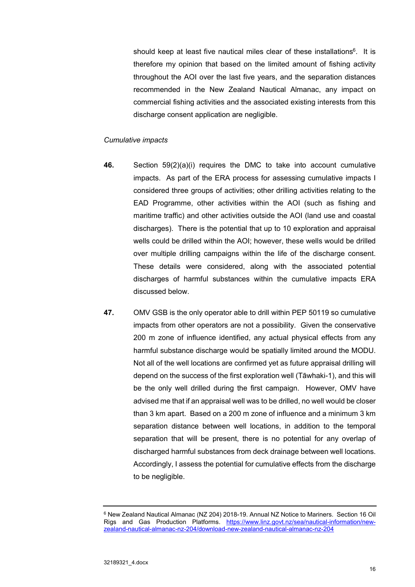should keep at least five nautical miles clear of these installations<sup>6</sup>. It is therefore my opinion that based on the limited amount of fishing activity throughout the AOI over the last five years, and the separation distances recommended in the New Zealand Nautical Almanac, any impact on commercial fishing activities and the associated existing interests from this discharge consent application are negligible.

### *Cumulative impacts*

- **46.** Section 59(2)(a)(i) requires the DMC to take into account cumulative impacts. As part of the ERA process for assessing cumulative impacts I considered three groups of activities; other drilling activities relating to the EAD Programme, other activities within the AOI (such as fishing and maritime traffic) and other activities outside the AOI (land use and coastal discharges). There is the potential that up to 10 exploration and appraisal wells could be drilled within the AOI; however, these wells would be drilled over multiple drilling campaigns within the life of the discharge consent. These details were considered, along with the associated potential discharges of harmful substances within the cumulative impacts ERA discussed below.
- **47.** OMV GSB is the only operator able to drill within PEP 50119 so cumulative impacts from other operators are not a possibility. Given the conservative 200 m zone of influence identified, any actual physical effects from any harmful substance discharge would be spatially limited around the MODU. Not all of the well locations are confirmed yet as future appraisal drilling will depend on the success of the first exploration well (Tāwhaki-1), and this will be the only well drilled during the first campaign. However, OMV have advised me that if an appraisal well was to be drilled, no well would be closer than 3 km apart. Based on a 200 m zone of influence and a minimum 3 km separation distance between well locations, in addition to the temporal separation that will be present, there is no potential for any overlap of discharged harmful substances from deck drainage between well locations. Accordingly, I assess the potential for cumulative effects from the discharge to be negligible.

<sup>6</sup> New Zealand Nautical Almanac (NZ 204) 2018-19. Annual NZ Notice to Mariners. Section 16 Oil Rigs and Gas Production Platforms. https://www.linz.govt.nz/sea/nautical-information/newzealand-nautical-almanac-nz-204/download-new-zealand-nautical-almanac-nz-204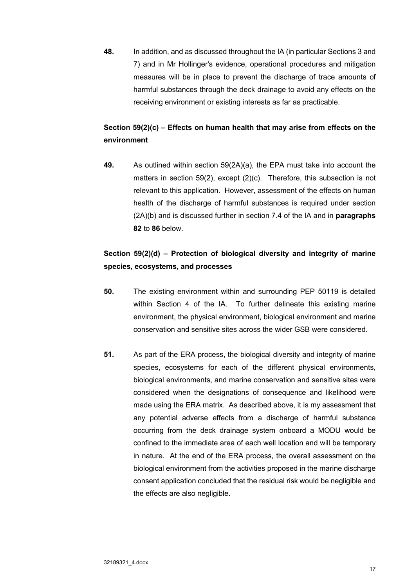**48.** In addition, and as discussed throughout the IA (in particular Sections 3 and 7) and in Mr Hollinger's evidence, operational procedures and mitigation measures will be in place to prevent the discharge of trace amounts of harmful substances through the deck drainage to avoid any effects on the receiving environment or existing interests as far as practicable.

# **Section 59(2)(c) – Effects on human health that may arise from effects on the environment**

**49.** As outlined within section 59(2A)(a), the EPA must take into account the matters in section 59(2), except (2)(c). Therefore, this subsection is not relevant to this application. However, assessment of the effects on human health of the discharge of harmful substances is required under section (2A)(b) and is discussed further in section 7.4 of the IA and in **paragraphs 82** to **86** below.

# **Section 59(2)(d) – Protection of biological diversity and integrity of marine species, ecosystems, and processes**

- **50.** The existing environment within and surrounding PEP 50119 is detailed within Section 4 of the IA. To further delineate this existing marine environment, the physical environment, biological environment and marine conservation and sensitive sites across the wider GSB were considered.
- **51.** As part of the ERA process, the biological diversity and integrity of marine species, ecosystems for each of the different physical environments, biological environments, and marine conservation and sensitive sites were considered when the designations of consequence and likelihood were made using the ERA matrix. As described above, it is my assessment that any potential adverse effects from a discharge of harmful substance occurring from the deck drainage system onboard a MODU would be confined to the immediate area of each well location and will be temporary in nature. At the end of the ERA process, the overall assessment on the biological environment from the activities proposed in the marine discharge consent application concluded that the residual risk would be negligible and the effects are also negligible.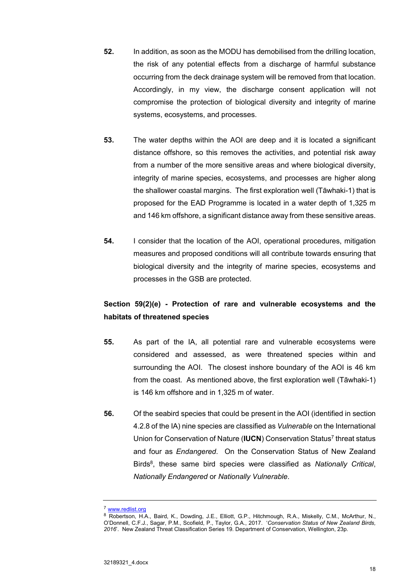- **52.** In addition, as soon as the MODU has demobilised from the drilling location, the risk of any potential effects from a discharge of harmful substance occurring from the deck drainage system will be removed from that location. Accordingly, in my view, the discharge consent application will not compromise the protection of biological diversity and integrity of marine systems, ecosystems, and processes.
- **53.** The water depths within the AOI are deep and it is located a significant distance offshore, so this removes the activities, and potential risk away from a number of the more sensitive areas and where biological diversity, integrity of marine species, ecosystems, and processes are higher along the shallower coastal margins. The first exploration well (Tāwhaki-1) that is proposed for the EAD Programme is located in a water depth of 1,325 m and 146 km offshore, a significant distance away from these sensitive areas.
- **54.** I consider that the location of the AOI, operational procedures, mitigation measures and proposed conditions will all contribute towards ensuring that biological diversity and the integrity of marine species, ecosystems and processes in the GSB are protected.

# **Section 59(2)(e) - Protection of rare and vulnerable ecosystems and the habitats of threatened species**

- **55.** As part of the IA, all potential rare and vulnerable ecosystems were considered and assessed, as were threatened species within and surrounding the AOI. The closest inshore boundary of the AOI is 46 km from the coast. As mentioned above, the first exploration well (Tāwhaki-1) is 146 km offshore and in 1,325 m of water.
- **56.** Of the seabird species that could be present in the AOI (identified in section 4.2.8 of the IA) nine species are classified as *Vulnerable* on the International Union for Conservation of Nature (**IUCN**) Conservation Status<sup>7</sup> threat status and four as *Endangered*. On the Conservation Status of New Zealand Birds8, these same bird species were classified as *Nationally Critical*, *Nationally Endangered* or *Nationally Vulnerable*.

<sup>7</sup> www.redlist.org

<sup>&</sup>lt;sup>8</sup> Robertson, H.A., Baird, K., Dowding, J.E., Elliott, G.P., Hitchmough, R.A., Miskelly, C.M., McArthur, N., O'Donnell, C.F.J., Sagar, P.M., Scofield, P., Taylor, G.A., 2017. '*Conservation Status of New Zealand Birds, 2016*'. New Zealand Threat Classification Series 19. Department of Conservation, Wellington, 23p.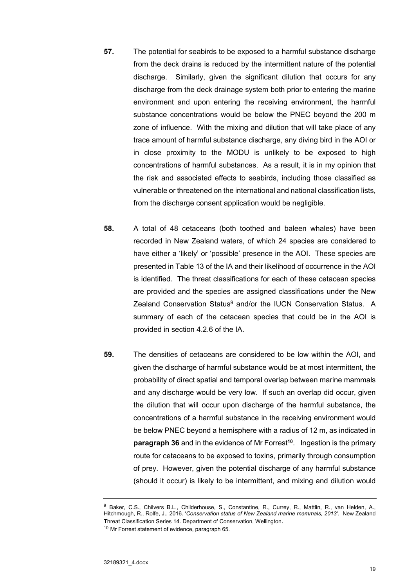- **57.** The potential for seabirds to be exposed to a harmful substance discharge from the deck drains is reduced by the intermittent nature of the potential discharge. Similarly, given the significant dilution that occurs for any discharge from the deck drainage system both prior to entering the marine environment and upon entering the receiving environment, the harmful substance concentrations would be below the PNEC beyond the 200 m zone of influence. With the mixing and dilution that will take place of any trace amount of harmful substance discharge, any diving bird in the AOI or in close proximity to the MODU is unlikely to be exposed to high concentrations of harmful substances. As a result, it is in my opinion that the risk and associated effects to seabirds, including those classified as vulnerable or threatened on the international and national classification lists, from the discharge consent application would be negligible.
- **58.** A total of 48 cetaceans (both toothed and baleen whales) have been recorded in New Zealand waters, of which 24 species are considered to have either a 'likely' or 'possible' presence in the AOI. These species are presented in Table 13 of the IA and their likelihood of occurrence in the AOI is identified. The threat classifications for each of these cetacean species are provided and the species are assigned classifications under the New Zealand Conservation Status<sup>9</sup> and/or the IUCN Conservation Status. A summary of each of the cetacean species that could be in the AOI is provided in section 4.2.6 of the IA.
- **59.** The densities of cetaceans are considered to be low within the AOI, and given the discharge of harmful substance would be at most intermittent, the probability of direct spatial and temporal overlap between marine mammals and any discharge would be very low. If such an overlap did occur, given the dilution that will occur upon discharge of the harmful substance, the concentrations of a harmful substance in the receiving environment would be below PNEC beyond a hemisphere with a radius of 12 m, as indicated in **paragraph 36** and in the evidence of Mr Forrest**<sup>10</sup>**. Ingestion is the primary route for cetaceans to be exposed to toxins, primarily through consumption of prey. However, given the potential discharge of any harmful substance (should it occur) is likely to be intermittent, and mixing and dilution would

<sup>&</sup>lt;sup>9</sup> Baker, C.S., Chilvers B.L., Childerhouse, S., Constantine, R., Currey, R., Mattlin, R., van Helden, A., Hitchmough, R., Rolfe, J., 2016. '*Conservation status of New Zealand marine mammals, 2013'*. New Zealand Threat Classification Series 14. Department of Conservation, Wellington.

<sup>&</sup>lt;sup>10</sup> Mr Forrest statement of evidence, paragraph 65.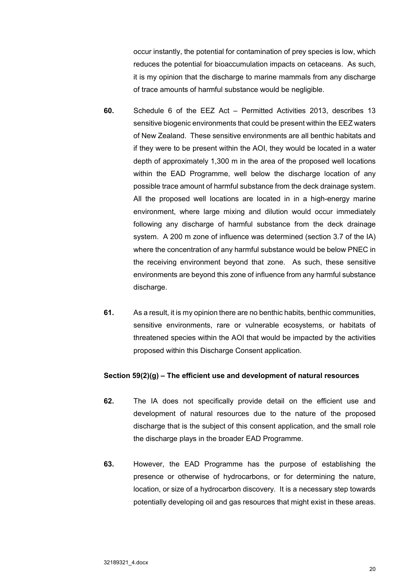occur instantly, the potential for contamination of prey species is low, which reduces the potential for bioaccumulation impacts on cetaceans. As such, it is my opinion that the discharge to marine mammals from any discharge of trace amounts of harmful substance would be negligible.

- **60.** Schedule 6 of the EEZ Act Permitted Activities 2013, describes 13 sensitive biogenic environments that could be present within the EEZ waters of New Zealand. These sensitive environments are all benthic habitats and if they were to be present within the AOI, they would be located in a water depth of approximately 1,300 m in the area of the proposed well locations within the EAD Programme, well below the discharge location of any possible trace amount of harmful substance from the deck drainage system. All the proposed well locations are located in in a high-energy marine environment, where large mixing and dilution would occur immediately following any discharge of harmful substance from the deck drainage system. A 200 m zone of influence was determined (section 3.7 of the IA) where the concentration of any harmful substance would be below PNEC in the receiving environment beyond that zone. As such, these sensitive environments are beyond this zone of influence from any harmful substance discharge.
- **61.** As a result, it is my opinion there are no benthic habits, benthic communities, sensitive environments, rare or vulnerable ecosystems, or habitats of threatened species within the AOI that would be impacted by the activities proposed within this Discharge Consent application.

### **Section 59(2)(g) – The efficient use and development of natural resources**

- **62.** The IA does not specifically provide detail on the efficient use and development of natural resources due to the nature of the proposed discharge that is the subject of this consent application, and the small role the discharge plays in the broader EAD Programme.
- **63.** However, the EAD Programme has the purpose of establishing the presence or otherwise of hydrocarbons, or for determining the nature, location, or size of a hydrocarbon discovery. It is a necessary step towards potentially developing oil and gas resources that might exist in these areas.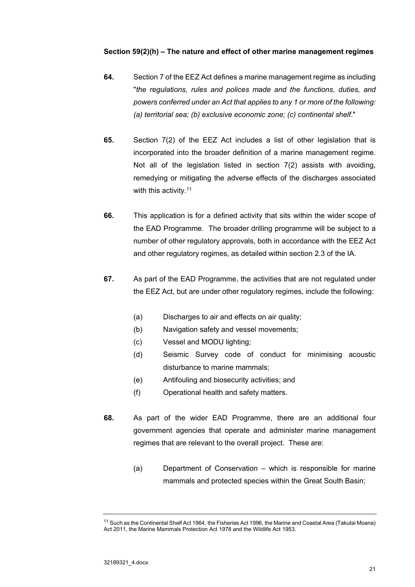## **Section 59(2)(h) – The nature and effect of other marine management regimes**

- **64.** Section 7 of the EEZ Act defines a marine management regime as including "*the regulations, rules and polices made and the functions, duties, and powers conferred under an Act that applies to any 1 or more of the following: (a) territorial sea; (b) exclusive economic zone; (c) continental shelf*."
- **65.** Section 7(2) of the EEZ Act includes a list of other legislation that is incorporated into the broader definition of a marine management regime. Not all of the legislation listed in section 7(2) assists with avoiding, remedying or mitigating the adverse effects of the discharges associated with this activity.<sup>11</sup>
- **66.** This application is for a defined activity that sits within the wider scope of the EAD Programme. The broader drilling programme will be subject to a number of other regulatory approvals, both in accordance with the EEZ Act and other regulatory regimes, as detailed within section 2.3 of the IA.
- **67.** As part of the EAD Programme, the activities that are not regulated under the EEZ Act, but are under other regulatory regimes, include the following:
	- (a) Discharges to air and effects on air quality;
	- (b) Navigation safety and vessel movements;
	- (c) Vessel and MODU lighting;
	- (d) Seismic Survey code of conduct for minimising acoustic disturbance to marine mammals;
	- (e) Antifouling and biosecurity activities; and
	- (f) Operational health and safety matters.
- **68.** As part of the wider EAD Programme, there are an additional four government agencies that operate and administer marine management regimes that are relevant to the overall project. These are:
	- (a) Department of Conservation which is responsible for marine mammals and protected species within the Great South Basin;

<sup>&</sup>lt;sup>11</sup> Such as the Continental Shelf Act 1964, the Fisheries Act 1996, the Marine and Coastal Area (Takutai Moana) Act 2011, the Marine Mammals Protection Act 1978 and the Wildlife Act 1953.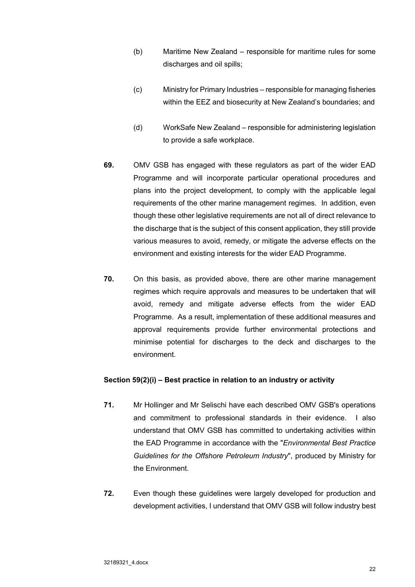- (b) Maritime New Zealand responsible for maritime rules for some discharges and oil spills;
- (c) Ministry for Primary Industries responsible for managing fisheries within the EEZ and biosecurity at New Zealand's boundaries; and
- (d) WorkSafe New Zealand responsible for administering legislation to provide a safe workplace.
- **69.** OMV GSB has engaged with these regulators as part of the wider EAD Programme and will incorporate particular operational procedures and plans into the project development, to comply with the applicable legal requirements of the other marine management regimes. In addition, even though these other legislative requirements are not all of direct relevance to the discharge that is the subject of this consent application, they still provide various measures to avoid, remedy, or mitigate the adverse effects on the environment and existing interests for the wider EAD Programme.
- **70.** On this basis, as provided above, there are other marine management regimes which require approvals and measures to be undertaken that will avoid, remedy and mitigate adverse effects from the wider EAD Programme. As a result, implementation of these additional measures and approval requirements provide further environmental protections and minimise potential for discharges to the deck and discharges to the environment.

### **Section 59(2)(i) – Best practice in relation to an industry or activity**

- **71.** Mr Hollinger and Mr Selischi have each described OMV GSB's operations and commitment to professional standards in their evidence. I also understand that OMV GSB has committed to undertaking activities within the EAD Programme in accordance with the "*Environmental Best Practice Guidelines for the Offshore Petroleum Industry*", produced by Ministry for the Environment.
- **72.** Even though these guidelines were largely developed for production and development activities, I understand that OMV GSB will follow industry best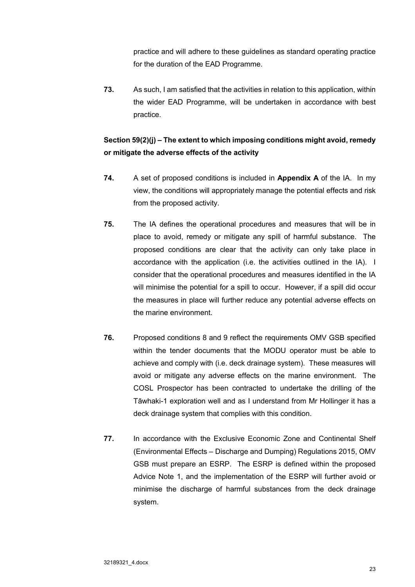practice and will adhere to these guidelines as standard operating practice for the duration of the EAD Programme.

**73.** As such, I am satisfied that the activities in relation to this application, within the wider EAD Programme, will be undertaken in accordance with best practice.

# **Section 59(2)(j) – The extent to which imposing conditions might avoid, remedy or mitigate the adverse effects of the activity**

- **74.** A set of proposed conditions is included in **Appendix A** of the IA. In my view, the conditions will appropriately manage the potential effects and risk from the proposed activity.
- **75.** The IA defines the operational procedures and measures that will be in place to avoid, remedy or mitigate any spill of harmful substance. The proposed conditions are clear that the activity can only take place in accordance with the application (i.e. the activities outlined in the IA). I consider that the operational procedures and measures identified in the IA will minimise the potential for a spill to occur. However, if a spill did occur the measures in place will further reduce any potential adverse effects on the marine environment.
- **76.** Proposed conditions 8 and 9 reflect the requirements OMV GSB specified within the tender documents that the MODU operator must be able to achieve and comply with (i.e. deck drainage system). These measures will avoid or mitigate any adverse effects on the marine environment. The COSL Prospector has been contracted to undertake the drilling of the Tāwhaki-1 exploration well and as I understand from Mr Hollinger it has a deck drainage system that complies with this condition.
- **77.** In accordance with the Exclusive Economic Zone and Continental Shelf (Environmental Effects – Discharge and Dumping) Regulations 2015, OMV GSB must prepare an ESRP. The ESRP is defined within the proposed Advice Note 1, and the implementation of the ESRP will further avoid or minimise the discharge of harmful substances from the deck drainage system.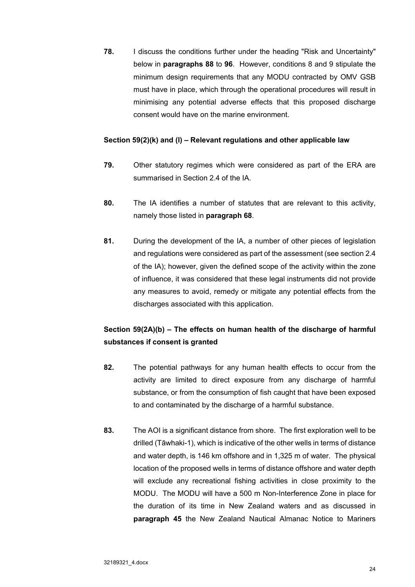**78.** I discuss the conditions further under the heading "Risk and Uncertainty" below in **paragraphs 88** to **96**. However, conditions 8 and 9 stipulate the minimum design requirements that any MODU contracted by OMV GSB must have in place, which through the operational procedures will result in minimising any potential adverse effects that this proposed discharge consent would have on the marine environment.

## **Section 59(2)(k) and (l) – Relevant regulations and other applicable law**

- **79.** Other statutory regimes which were considered as part of the ERA are summarised in Section 2.4 of the IA.
- **80.** The IA identifies a number of statutes that are relevant to this activity, namely those listed in **paragraph 68**.
- **81.** During the development of the IA, a number of other pieces of legislation and regulations were considered as part of the assessment (see section 2.4 of the IA); however, given the defined scope of the activity within the zone of influence, it was considered that these legal instruments did not provide any measures to avoid, remedy or mitigate any potential effects from the discharges associated with this application.

# **Section 59(2A)(b) – The effects on human health of the discharge of harmful substances if consent is granted**

- **82.** The potential pathways for any human health effects to occur from the activity are limited to direct exposure from any discharge of harmful substance, or from the consumption of fish caught that have been exposed to and contaminated by the discharge of a harmful substance.
- **83.** The AOI is a significant distance from shore. The first exploration well to be drilled (Tāwhaki-1), which is indicative of the other wells in terms of distance and water depth, is 146 km offshore and in 1,325 m of water. The physical location of the proposed wells in terms of distance offshore and water depth will exclude any recreational fishing activities in close proximity to the MODU. The MODU will have a 500 m Non-Interference Zone in place for the duration of its time in New Zealand waters and as discussed in **paragraph 45** the New Zealand Nautical Almanac Notice to Mariners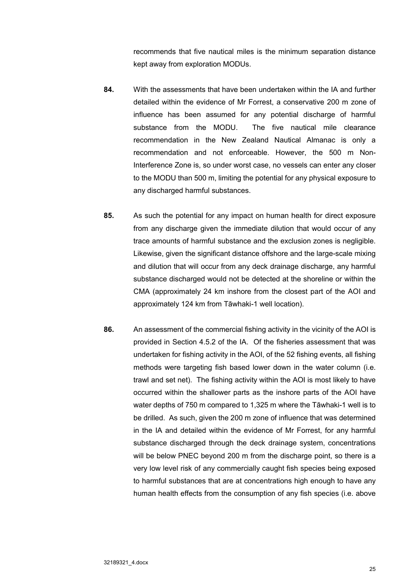recommends that five nautical miles is the minimum separation distance kept away from exploration MODUs.

- **84.** With the assessments that have been undertaken within the IA and further detailed within the evidence of Mr Forrest, a conservative 200 m zone of influence has been assumed for any potential discharge of harmful substance from the MODU. The five nautical mile clearance recommendation in the New Zealand Nautical Almanac is only a recommendation and not enforceable. However, the 500 m Non-Interference Zone is, so under worst case, no vessels can enter any closer to the MODU than 500 m, limiting the potential for any physical exposure to any discharged harmful substances.
- **85.** As such the potential for any impact on human health for direct exposure from any discharge given the immediate dilution that would occur of any trace amounts of harmful substance and the exclusion zones is negligible. Likewise, given the significant distance offshore and the large-scale mixing and dilution that will occur from any deck drainage discharge, any harmful substance discharged would not be detected at the shoreline or within the CMA (approximately 24 km inshore from the closest part of the AOI and approximately 124 km from Tāwhaki-1 well location).
- **86.** An assessment of the commercial fishing activity in the vicinity of the AOI is provided in Section 4.5.2 of the IA. Of the fisheries assessment that was undertaken for fishing activity in the AOI, of the 52 fishing events, all fishing methods were targeting fish based lower down in the water column (i.e. trawl and set net). The fishing activity within the AOI is most likely to have occurred within the shallower parts as the inshore parts of the AOI have water depths of 750 m compared to 1,325 m where the Tāwhaki-1 well is to be drilled. As such, given the 200 m zone of influence that was determined in the IA and detailed within the evidence of Mr Forrest, for any harmful substance discharged through the deck drainage system, concentrations will be below PNEC beyond 200 m from the discharge point, so there is a very low level risk of any commercially caught fish species being exposed to harmful substances that are at concentrations high enough to have any human health effects from the consumption of any fish species (i.e. above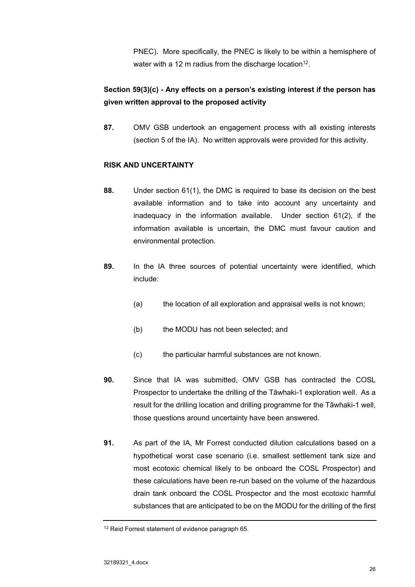PNEC). More specifically, the PNEC is likely to be within a hemisphere of water with a 12 m radius from the discharge location<sup>12</sup>.

# **Section 59(3)(c) - Any effects on a person's existing interest if the person has given written approval to the proposed activity**

**87.** OMV GSB undertook an engagement process with all existing interests (section 5 of the IA). No written approvals were provided for this activity.

## **RISK AND UNCERTAINTY**

- **88.** Under section 61(1), the DMC is required to base its decision on the best available information and to take into account any uncertainty and inadequacy in the information available. Under section 61(2), if the information available is uncertain, the DMC must favour caution and environmental protection.
- **89.** In the IA three sources of potential uncertainty were identified, which include:
	- (a) the location of all exploration and appraisal wells is not known;
	- (b) the MODU has not been selected; and
	- (c) the particular harmful substances are not known.
- **90.** Since that IA was submitted, OMV GSB has contracted the COSL Prospector to undertake the drilling of the Tāwhaki-1 exploration well. As a result for the drilling location and drilling programme for the Tāwhaki-1 well, those questions around uncertainty have been answered.
- **91.** As part of the IA, Mr Forrest conducted dilution calculations based on a hypothetical worst case scenario (i.e. smallest settlement tank size and most ecotoxic chemical likely to be onboard the COSL Prospector) and these calculations have been re-run based on the volume of the hazardous drain tank onboard the COSL Prospector and the most ecotoxic harmful substances that are anticipated to be on the MODU for the drilling of the first

<sup>&</sup>lt;sup>12</sup> Reid Forrest statement of evidence paragraph 65.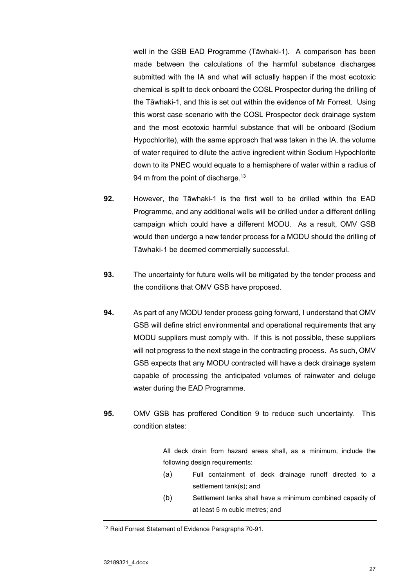well in the GSB EAD Programme (Tāwhaki-1). A comparison has been made between the calculations of the harmful substance discharges submitted with the IA and what will actually happen if the most ecotoxic chemical is spilt to deck onboard the COSL Prospector during the drilling of the Tāwhaki-1, and this is set out within the evidence of Mr Forrest. Using this worst case scenario with the COSL Prospector deck drainage system and the most ecotoxic harmful substance that will be onboard (Sodium Hypochlorite), with the same approach that was taken in the IA, the volume of water required to dilute the active ingredient within Sodium Hypochlorite down to its PNEC would equate to a hemisphere of water within a radius of 94 m from the point of discharge.<sup>13</sup>

- **92.** However, the Tāwhaki-1 is the first well to be drilled within the EAD Programme, and any additional wells will be drilled under a different drilling campaign which could have a different MODU. As a result, OMV GSB would then undergo a new tender process for a MODU should the drilling of Tāwhaki-1 be deemed commercially successful.
- **93.** The uncertainty for future wells will be mitigated by the tender process and the conditions that OMV GSB have proposed.
- **94.** As part of any MODU tender process going forward, I understand that OMV GSB will define strict environmental and operational requirements that any MODU suppliers must comply with. If this is not possible, these suppliers will not progress to the next stage in the contracting process. As such, OMV GSB expects that any MODU contracted will have a deck drainage system capable of processing the anticipated volumes of rainwater and deluge water during the EAD Programme.
- **95.** OMV GSB has proffered Condition 9 to reduce such uncertainty. This condition states:

All deck drain from hazard areas shall, as a minimum, include the following design requirements:

- (a) Full containment of deck drainage runoff directed to a settlement tank(s); and
- (b) Settlement tanks shall have a minimum combined capacity of at least 5 m cubic metres; and

<sup>13</sup> Reid Forrest Statement of Evidence Paragraphs 70-91.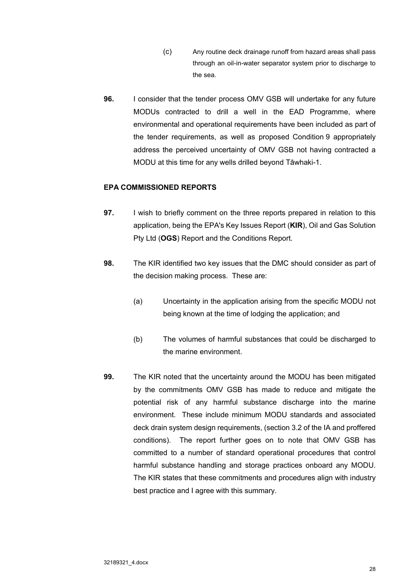- (c) Any routine deck drainage runoff from hazard areas shall pass through an oil-in-water separator system prior to discharge to the sea.
- **96.** I consider that the tender process OMV GSB will undertake for any future MODUs contracted to drill a well in the EAD Programme, where environmental and operational requirements have been included as part of the tender requirements, as well as proposed Condition 9 appropriately address the perceived uncertainty of OMV GSB not having contracted a MODU at this time for any wells drilled beyond Tāwhaki-1.

## **EPA COMMISSIONED REPORTS**

- **97.** I wish to briefly comment on the three reports prepared in relation to this application, being the EPA's Key Issues Report (**KIR**), Oil and Gas Solution Pty Ltd (**OGS**) Report and the Conditions Report.
- **98.** The KIR identified two key issues that the DMC should consider as part of the decision making process. These are:
	- (a) Uncertainty in the application arising from the specific MODU not being known at the time of lodging the application; and
	- (b) The volumes of harmful substances that could be discharged to the marine environment.
- **99.** The KIR noted that the uncertainty around the MODU has been mitigated by the commitments OMV GSB has made to reduce and mitigate the potential risk of any harmful substance discharge into the marine environment. These include minimum MODU standards and associated deck drain system design requirements, (section 3.2 of the IA and proffered conditions). The report further goes on to note that OMV GSB has committed to a number of standard operational procedures that control harmful substance handling and storage practices onboard any MODU. The KIR states that these commitments and procedures align with industry best practice and I agree with this summary.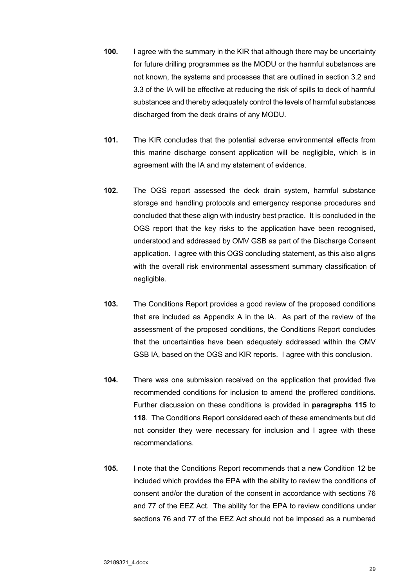- **100.** I agree with the summary in the KIR that although there may be uncertainty for future drilling programmes as the MODU or the harmful substances are not known, the systems and processes that are outlined in section 3.2 and 3.3 of the IA will be effective at reducing the risk of spills to deck of harmful substances and thereby adequately control the levels of harmful substances discharged from the deck drains of any MODU.
- **101.** The KIR concludes that the potential adverse environmental effects from this marine discharge consent application will be negligible, which is in agreement with the IA and my statement of evidence.
- **102.** The OGS report assessed the deck drain system, harmful substance storage and handling protocols and emergency response procedures and concluded that these align with industry best practice. It is concluded in the OGS report that the key risks to the application have been recognised, understood and addressed by OMV GSB as part of the Discharge Consent application. I agree with this OGS concluding statement, as this also aligns with the overall risk environmental assessment summary classification of negligible.
- **103.** The Conditions Report provides a good review of the proposed conditions that are included as Appendix A in the IA. As part of the review of the assessment of the proposed conditions, the Conditions Report concludes that the uncertainties have been adequately addressed within the OMV GSB IA, based on the OGS and KIR reports. I agree with this conclusion.
- **104.** There was one submission received on the application that provided five recommended conditions for inclusion to amend the proffered conditions. Further discussion on these conditions is provided in **paragraphs 115** to **118**. The Conditions Report considered each of these amendments but did not consider they were necessary for inclusion and I agree with these recommendations.
- **105.** I note that the Conditions Report recommends that a new Condition 12 be included which provides the EPA with the ability to review the conditions of consent and/or the duration of the consent in accordance with sections 76 and 77 of the EEZ Act. The ability for the EPA to review conditions under sections 76 and 77 of the EEZ Act should not be imposed as a numbered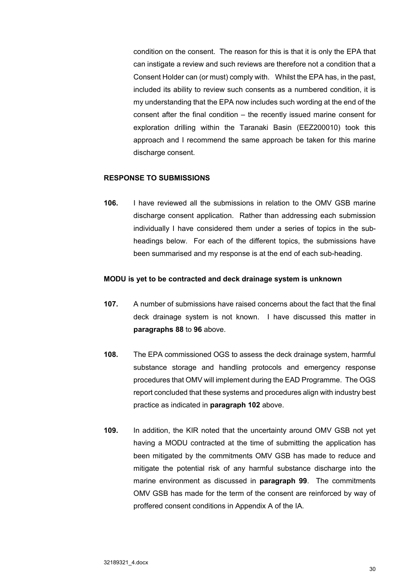condition on the consent. The reason for this is that it is only the EPA that can instigate a review and such reviews are therefore not a condition that a Consent Holder can (or must) comply with. Whilst the EPA has, in the past, included its ability to review such consents as a numbered condition, it is my understanding that the EPA now includes such wording at the end of the consent after the final condition – the recently issued marine consent for exploration drilling within the Taranaki Basin (EEZ200010) took this approach and I recommend the same approach be taken for this marine discharge consent.

### **RESPONSE TO SUBMISSIONS**

**106.** I have reviewed all the submissions in relation to the OMV GSB marine discharge consent application. Rather than addressing each submission individually I have considered them under a series of topics in the subheadings below. For each of the different topics, the submissions have been summarised and my response is at the end of each sub-heading.

### **MODU is yet to be contracted and deck drainage system is unknown**

- **107.** A number of submissions have raised concerns about the fact that the final deck drainage system is not known. I have discussed this matter in **paragraphs 88** to **96** above.
- **108.** The EPA commissioned OGS to assess the deck drainage system, harmful substance storage and handling protocols and emergency response procedures that OMV will implement during the EAD Programme. The OGS report concluded that these systems and procedures align with industry best practice as indicated in **paragraph 102** above.
- **109.** In addition, the KIR noted that the uncertainty around OMV GSB not yet having a MODU contracted at the time of submitting the application has been mitigated by the commitments OMV GSB has made to reduce and mitigate the potential risk of any harmful substance discharge into the marine environment as discussed in **paragraph 99**. The commitments OMV GSB has made for the term of the consent are reinforced by way of proffered consent conditions in Appendix A of the IA.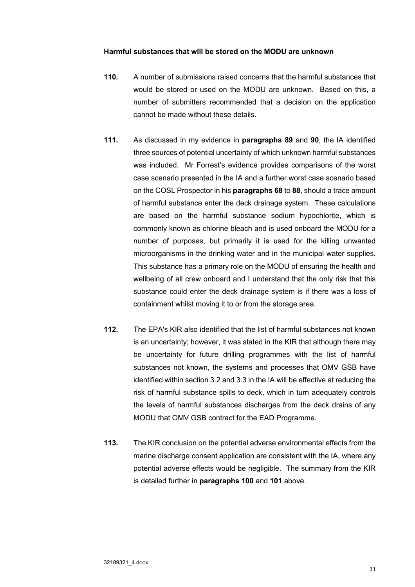## **Harmful substances that will be stored on the MODU are unknown**

- **110.** A number of submissions raised concerns that the harmful substances that would be stored or used on the MODU are unknown. Based on this, a number of submitters recommended that a decision on the application cannot be made without these details.
- **111.** As discussed in my evidence in **paragraphs 89** and **90**, the IA identified three sources of potential uncertainty of which unknown harmful substances was included. Mr Forrest's evidence provides comparisons of the worst case scenario presented in the IA and a further worst case scenario based on the COSL Prospector in his **paragraphs 68** to **88**, should a trace amount of harmful substance enter the deck drainage system. These calculations are based on the harmful substance sodium hypochlorite, which is commonly known as chlorine bleach and is used onboard the MODU for a number of purposes, but primarily it is used for the killing unwanted microorganisms in the drinking water and in the municipal water supplies. This substance has a primary role on the MODU of ensuring the health and wellbeing of all crew onboard and I understand that the only risk that this substance could enter the deck drainage system is if there was a loss of containment whilst moving it to or from the storage area.
- **112.** The EPA's KIR also identified that the list of harmful substances not known is an uncertainty; however, it was stated in the KIR that although there may be uncertainty for future drilling programmes with the list of harmful substances not known, the systems and processes that OMV GSB have identified within section 3.2 and 3.3 in the IA will be effective at reducing the risk of harmful substance spills to deck, which in turn adequately controls the levels of harmful substances discharges from the deck drains of any MODU that OMV GSB contract for the EAD Programme.
- **113.** The KIR conclusion on the potential adverse environmental effects from the marine discharge consent application are consistent with the IA, where any potential adverse effects would be negligible. The summary from the KIR is detailed further in **paragraphs 100** and **101** above.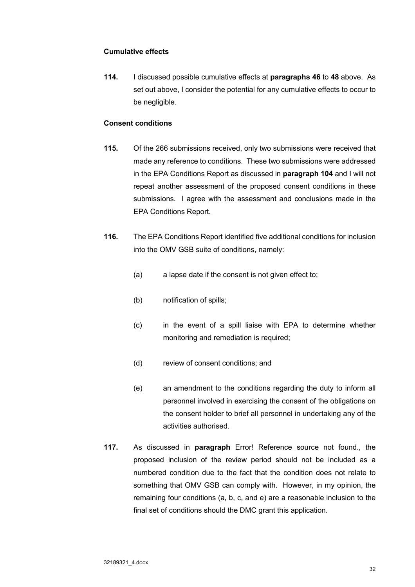## **Cumulative effects**

**114.** I discussed possible cumulative effects at **paragraphs 46** to **48** above. As set out above, I consider the potential for any cumulative effects to occur to be negligible.

### **Consent conditions**

- **115.** Of the 266 submissions received, only two submissions were received that made any reference to conditions. These two submissions were addressed in the EPA Conditions Report as discussed in **paragraph 104** and I will not repeat another assessment of the proposed consent conditions in these submissions. I agree with the assessment and conclusions made in the EPA Conditions Report.
- **116.** The EPA Conditions Report identified five additional conditions for inclusion into the OMV GSB suite of conditions, namely:
	- (a) a lapse date if the consent is not given effect to;
	- (b) notification of spills;
	- (c) in the event of a spill liaise with EPA to determine whether monitoring and remediation is required;
	- (d) review of consent conditions; and
	- (e) an amendment to the conditions regarding the duty to inform all personnel involved in exercising the consent of the obligations on the consent holder to brief all personnel in undertaking any of the activities authorised.
- **117.** As discussed in **paragraph** Error! Reference source not found., the proposed inclusion of the review period should not be included as a numbered condition due to the fact that the condition does not relate to something that OMV GSB can comply with. However, in my opinion, the remaining four conditions (a, b, c, and e) are a reasonable inclusion to the final set of conditions should the DMC grant this application.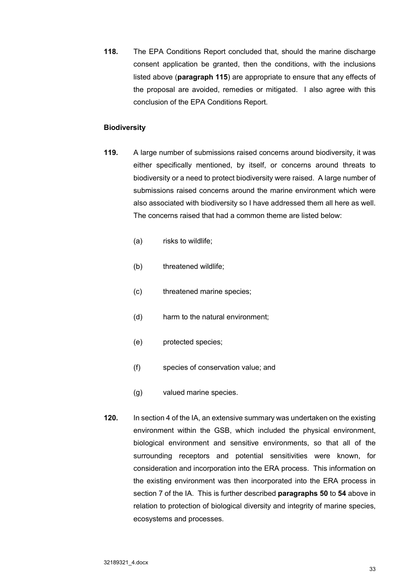**118.** The EPA Conditions Report concluded that, should the marine discharge consent application be granted, then the conditions, with the inclusions listed above (**paragraph 115**) are appropriate to ensure that any effects of the proposal are avoided, remedies or mitigated. I also agree with this conclusion of the EPA Conditions Report.

### **Biodiversity**

- **119.** A large number of submissions raised concerns around biodiversity, it was either specifically mentioned, by itself, or concerns around threats to biodiversity or a need to protect biodiversity were raised. A large number of submissions raised concerns around the marine environment which were also associated with biodiversity so I have addressed them all here as well. The concerns raised that had a common theme are listed below:
	- (a) risks to wildlife;
	- (b) threatened wildlife:
	- (c) threatened marine species;
	- (d) harm to the natural environment;
	- (e) protected species;
	- (f) species of conservation value; and
	- (g) valued marine species.
- **120.** In section 4 of the IA, an extensive summary was undertaken on the existing environment within the GSB, which included the physical environment, biological environment and sensitive environments, so that all of the surrounding receptors and potential sensitivities were known, for consideration and incorporation into the ERA process. This information on the existing environment was then incorporated into the ERA process in section 7 of the IA. This is further described **paragraphs 50** to **54** above in relation to protection of biological diversity and integrity of marine species, ecosystems and processes.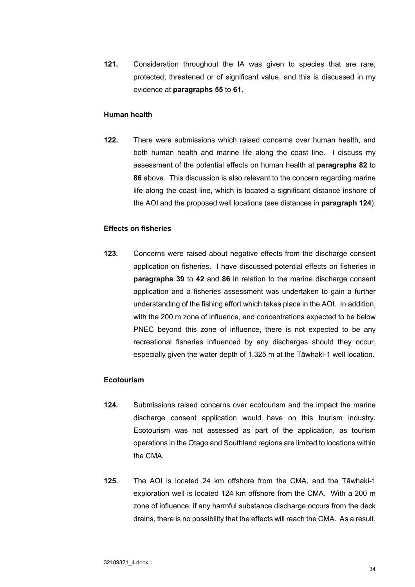**121.** Consideration throughout the IA was given to species that are rare, protected, threatened or of significant value, and this is discussed in my evidence at **paragraphs 55** to **61**.

#### **Human health**

**122.** There were submissions which raised concerns over human health, and both human health and marine life along the coast line. I discuss my assessment of the potential effects on human health at **paragraphs 82** to **86** above. This discussion is also relevant to the concern regarding marine life along the coast line, which is located a significant distance inshore of the AOI and the proposed well locations (see distances in **paragraph 124**).

### **Effects on fisheries**

**123.** Concerns were raised about negative effects from the discharge consent application on fisheries. I have discussed potential effects on fisheries in **paragraphs 39** to **42** and **86** in relation to the marine discharge consent application and a fisheries assessment was undertaken to gain a further understanding of the fishing effort which takes place in the AOI. In addition, with the 200 m zone of influence, and concentrations expected to be below PNEC beyond this zone of influence, there is not expected to be any recreational fisheries influenced by any discharges should they occur, especially given the water depth of 1,325 m at the Tāwhaki-1 well location.

### **Ecotourism**

- **124.** Submissions raised concerns over ecotourism and the impact the marine discharge consent application would have on this tourism industry. Ecotourism was not assessed as part of the application, as tourism operations in the Otago and Southland regions are limited to locations within the CMA.
- **125.** The AOI is located 24 km offshore from the CMA, and the Tāwhaki-1 exploration well is located 124 km offshore from the CMA. With a 200 m zone of influence, if any harmful substance discharge occurs from the deck drains, there is no possibility that the effects will reach the CMA. As a result,